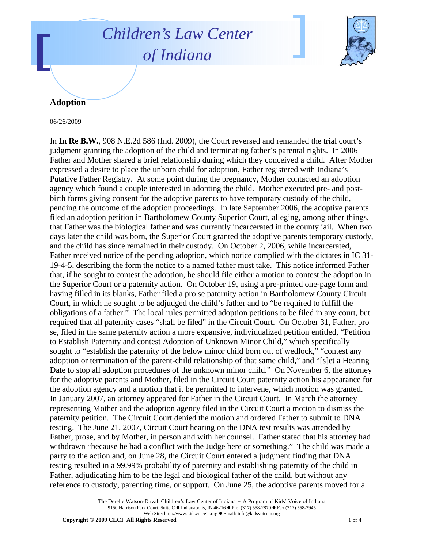## *Children's Law Center of Indiana*



## **Adoption**

06/26/2009

In **In Re B.W.**, 908 N.E.2d 586 (Ind. 2009), the Court reversed and remanded the trial court's judgment granting the adoption of the child and terminating father's parental rights. In 2006 Father and Mother shared a brief relationship during which they conceived a child. After Mother expressed a desire to place the unborn child for adoption, Father registered with Indiana's Putative Father Registry. At some point during the pregnancy, Mother contacted an adoption agency which found a couple interested in adopting the child. Mother executed pre- and postbirth forms giving consent for the adoptive parents to have temporary custody of the child, pending the outcome of the adoption proceedings. In late September 2006, the adoptive parents filed an adoption petition in Bartholomew County Superior Court, alleging, among other things, that Father was the biological father and was currently incarcerated in the county jail. When two days later the child was born, the Superior Court granted the adoptive parents temporary custody, and the child has since remained in their custody. On October 2, 2006, while incarcerated, Father received notice of the pending adoption, which notice complied with the dictates in IC 31- 19-4-5, describing the form the notice to a named father must take. This notice informed Father that, if he sought to contest the adoption, he should file either a motion to contest the adoption in the Superior Court or a paternity action. On October 19, using a pre-printed one-page form and having filled in its blanks, Father filed a pro se paternity action in Bartholomew County Circuit Court, in which he sought to be adjudged the child's father and to "be required to fulfill the obligations of a father." The local rules permitted adoption petitions to be filed in any court, but required that all paternity cases "shall be filed" in the Circuit Court. On October 31, Father, pro se, filed in the same paternity action a more expansive, individualized petition entitled, "Petition to Establish Paternity and contest Adoption of Unknown Minor Child," which specifically sought to "establish the paternity of the below minor child born out of wedlock," "contest any adoption or termination of the parent-child relationship of that same child," and "[s]et a Hearing Date to stop all adoption procedures of the unknown minor child." On November 6, the attorney for the adoptive parents and Mother, filed in the Circuit Court paternity action his appearance for the adoption agency and a motion that it be permitted to intervene, which motion was granted. In January 2007, an attorney appeared for Father in the Circuit Court. In March the attorney representing Mother and the adoption agency filed in the Circuit Court a motion to dismiss the paternity petition. The Circuit Court denied the motion and ordered Father to submit to DNA testing. The June 21, 2007, Circuit Court hearing on the DNA test results was attended by Father, prose, and by Mother, in person and with her counsel. Father stated that his attorney had withdrawn "because he had a conflict with the Judge here or something." The child was made a party to the action and, on June 28, the Circuit Court entered a judgment finding that DNA testing resulted in a 99.99% probability of paternity and establishing paternity of the child in Father, adjudicating him to be the legal and biological father of the child, but without any reference to custody, parenting time, or support. On June 25, the adoptive parents moved for a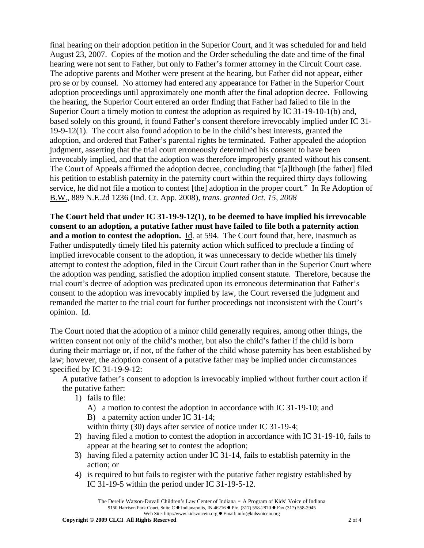final hearing on their adoption petition in the Superior Court, and it was scheduled for and held August 23, 2007. Copies of the motion and the Order scheduling the date and time of the final hearing were not sent to Father, but only to Father's former attorney in the Circuit Court case. The adoptive parents and Mother were present at the hearing, but Father did not appear, either pro se or by counsel. No attorney had entered any appearance for Father in the Superior Court adoption proceedings until approximately one month after the final adoption decree. Following the hearing, the Superior Court entered an order finding that Father had failed to file in the Superior Court a timely motion to contest the adoption as required by IC 31-19-10-1(b) and, based solely on this ground, it found Father's consent therefore irrevocably implied under IC 31- 19-9-12(1). The court also found adoption to be in the child's best interests, granted the adoption, and ordered that Father's parental rights be terminated. Father appealed the adoption judgment, asserting that the trial court erroneously determined his consent to have been irrevocably implied, and that the adoption was therefore improperly granted without his consent. The Court of Appeals affirmed the adoption decree, concluding that "[a]lthough [the father] filed his petition to establish paternity in the paternity court within the required thirty days following service, he did not file a motion to contest [the] adoption in the proper court." In Re Adoption of B.W., 889 N.E.2d 1236 (Ind. Ct. App. 2008), *trans. granted Oct. 15, 2008* 

**The Court held that under IC 31-19-9-12(1), to be deemed to have implied his irrevocable consent to an adoption, a putative father must have failed to file both a paternity action**  and a motion to contest the adoption. **Id.** at 594. The Court found that, here, inasmuch as Father undisputedly timely filed his paternity action which sufficed to preclude a finding of implied irrevocable consent to the adoption, it was unnecessary to decide whether his timely attempt to contest the adoption, filed in the Circuit Court rather than in the Superior Court where the adoption was pending, satisfied the adoption implied consent statute. Therefore, because the trial court's decree of adoption was predicated upon its erroneous determination that Father's consent to the adoption was irrevocably implied by law, the Court reversed the judgment and remanded the matter to the trial court for further proceedings not inconsistent with the Court's opinion. Id.

The Court noted that the adoption of a minor child generally requires, among other things, the written consent not only of the child's mother, but also the child's father if the child is born during their marriage or, if not, of the father of the child whose paternity has been established by law; however, the adoption consent of a putative father may be implied under circumstances specified by IC 31-19-9-12:

A putative father's consent to adoption is irrevocably implied without further court action if the putative father:

- 1) fails to file:
	- A) a motion to contest the adoption in accordance with IC 31-19-10; and
	- B) a paternity action under IC 31-14;

within thirty (30) days after service of notice under IC 31-19-4;

- 2) having filed a motion to contest the adoption in accordance with IC 31-19-10, fails to appear at the hearing set to contest the adoption;
- 3) having filed a paternity action under IC 31-14, fails to establish paternity in the action; or
- 4) is required to but fails to register with the putative father registry established by IC 31-19-5 within the period under IC 31-19-5-12.

The Derelle Watson-Duvall Children's Law Center of Indiana - A Program of Kids' Voice of Indiana 9150 Harrison Park Court, Suite C · Indianapolis, IN 46216 • Ph: (317) 558-2870 • Fax (317) 558-2945 Web Site: http://www.kidsvoicein.org · Email: info@kidsvoicein.org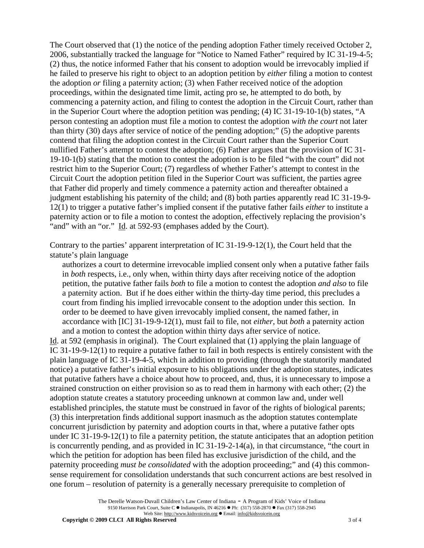The Court observed that (1) the notice of the pending adoption Father timely received October 2, 2006, substantially tracked the language for "Notice to Named Father" required by IC 31-19-4-5; (2) thus, the notice informed Father that his consent to adoption would be irrevocably implied if he failed to preserve his right to object to an adoption petition by *either* filing a motion to contest the adoption *or* filing a paternity action; (3) when Father received notice of the adoption proceedings, within the designated time limit, acting pro se, he attempted to do both, by commencing a paternity action, and filing to contest the adoption in the Circuit Court, rather than in the Superior Court where the adoption petition was pending; (4) IC 31-19-10-1(b) states, "A person contesting an adoption must file a motion to contest the adoption *with the court* not later than thirty (30) days after service of notice of the pending adoption;" (5) the adoptive parents contend that filing the adoption contest in the Circuit Court rather than the Superior Court nullified Father's attempt to contest the adoption; (6) Father argues that the provision of IC 31- 19-10-1(b) stating that the motion to contest the adoption is to be filed "with the court" did not restrict him to the Superior Court; (7) regardless of whether Father's attempt to contest in the Circuit Court the adoption petition filed in the Superior Court was sufficient, the parties agree that Father did properly and timely commence a paternity action and thereafter obtained a judgment establishing his paternity of the child; and (8) both parties apparently read IC 31-19-9- 12(1) to trigger a putative father's implied consent if the putative father fails *either* to institute a paternity action or to file a motion to contest the adoption, effectively replacing the provision's "and" with an "or." Id. at 592-93 (emphases added by the Court).

Contrary to the parties' apparent interpretation of IC 31-19-9-12(1), the Court held that the statute's plain language

authorizes a court to determine irrevocable implied consent only when a putative father fails in *both* respects, i.e., only when, within thirty days after receiving notice of the adoption petition, the putative father fails *both* to file a motion to contest the adoption *and also* to file a paternity action. But if he does either within the thirty-day time period, this precludes a court from finding his implied irrevocable consent to the adoption under this section. In order to be deemed to have given irrevocably implied consent, the named father, in accordance with [IC] 31-19-9-12(1), must fail to file, not *either*, but *both* a paternity action and a motion to contest the adoption within thirty days after service of notice.

Id. at 592 (emphasis in original). The Court explained that (1) applying the plain language of IC 31-19-9-12(1) to require a putative father to fail in both respects is entirely consistent with the plain language of IC 31-19-4-5, which in addition to providing (through the statutorily mandated notice) a putative father's initial exposure to his obligations under the adoption statutes, indicates that putative fathers have a choice about how to proceed, and, thus, it is unnecessary to impose a strained construction on either provision so as to read them in harmony with each other; (2) the adoption statute creates a statutory proceeding unknown at common law and, under well established principles, the statute must be construed in favor of the rights of biological parents; (3) this interpretation finds additional support inasmuch as the adoption statutes contemplate concurrent jurisdiction by paternity and adoption courts in that, where a putative father opts under IC 31-19-9-12(1) to file a paternity petition, the statute anticipates that an adoption petition is concurrently pending, and as provided in IC 31-19-2-14(a), in that circumstance, "the court in which the petition for adoption has been filed has exclusive jurisdiction of the child, and the paternity proceeding *must be consolidated* with the adoption proceeding;" and (4) this commonsense requirement for consolidation understands that such concurrent actions are best resolved in one forum – resolution of paternity is a generally necessary prerequisite to completion of

> The Derelle Watson-Duvall Children's Law Center of Indiana - A Program of Kids' Voice of Indiana 9150 Harrison Park Court, Suite C · Indianapolis, IN 46216 • Ph: (317) 558-2870 • Fax (317) 558-2945 Web Site: http://www.kidsvoicein.org · Email: info@kidsvoicein.org